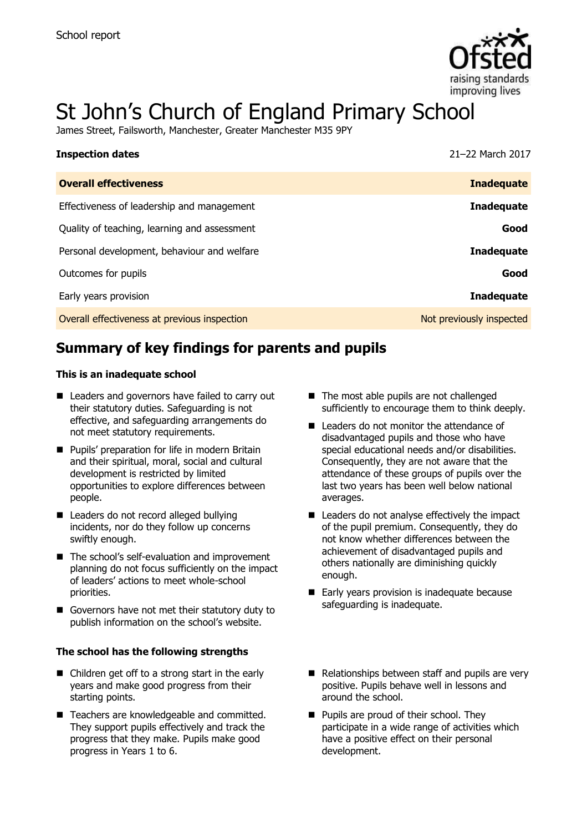

# St John's Church of England Primary School

James Street, Failsworth, Manchester, Greater Manchester M35 9PY

| <b>Inspection dates</b>                      | 21-22 March 2017         |
|----------------------------------------------|--------------------------|
| <b>Overall effectiveness</b>                 | <b>Inadequate</b>        |
| Effectiveness of leadership and management   | <b>Inadequate</b>        |
| Quality of teaching, learning and assessment | Good                     |
| Personal development, behaviour and welfare  | <b>Inadequate</b>        |
| Outcomes for pupils                          | Good                     |
| Early years provision                        | <b>Inadequate</b>        |
| Overall effectiveness at previous inspection | Not previously inspected |

# **Summary of key findings for parents and pupils**

#### **This is an inadequate school**

- Leaders and governors have failed to carry out their statutory duties. Safeguarding is not effective, and safeguarding arrangements do not meet statutory requirements.
- **Pupils' preparation for life in modern Britain** and their spiritual, moral, social and cultural development is restricted by limited opportunities to explore differences between people.
- Leaders do not record alleged bullying incidents, nor do they follow up concerns swiftly enough.
- The school's self-evaluation and improvement planning do not focus sufficiently on the impact of leaders' actions to meet whole-school priorities.
- Governors have not met their statutory duty to publish information on the school's website.

#### **The school has the following strengths**

- Children get off to a strong start in the early years and make good progress from their starting points.
- Teachers are knowledgeable and committed. They support pupils effectively and track the progress that they make. Pupils make good progress in Years 1 to 6.
- The most able pupils are not challenged sufficiently to encourage them to think deeply.
- Leaders do not monitor the attendance of disadvantaged pupils and those who have special educational needs and/or disabilities. Consequently, they are not aware that the attendance of these groups of pupils over the last two years has been well below national averages.
- Leaders do not analyse effectively the impact of the pupil premium. Consequently, they do not know whether differences between the achievement of disadvantaged pupils and others nationally are diminishing quickly enough.
- Early years provision is inadequate because safeguarding is inadequate.
- Relationships between staff and pupils are very positive. Pupils behave well in lessons and around the school.
- **Pupils are proud of their school. They** participate in a wide range of activities which have a positive effect on their personal development.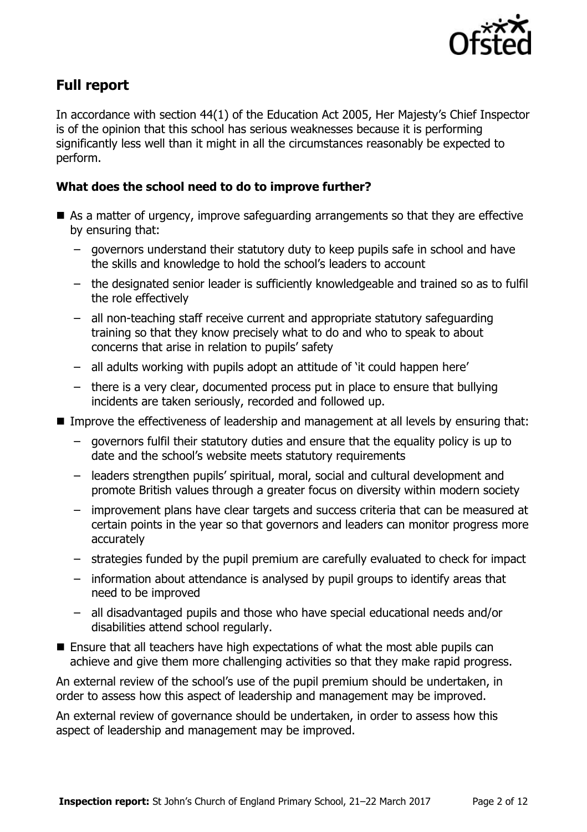

# **Full report**

In accordance with section 44(1) of the Education Act 2005, Her Majesty's Chief Inspector is of the opinion that this school has serious weaknesses because it is performing significantly less well than it might in all the circumstances reasonably be expected to perform.

### **What does the school need to do to improve further?**

- As a matter of urgency, improve safeguarding arrangements so that they are effective by ensuring that:
	- governors understand their statutory duty to keep pupils safe in school and have the skills and knowledge to hold the school's leaders to account
	- the designated senior leader is sufficiently knowledgeable and trained so as to fulfil the role effectively
	- all non-teaching staff receive current and appropriate statutory safeguarding training so that they know precisely what to do and who to speak to about concerns that arise in relation to pupils' safety
	- all adults working with pupils adopt an attitude of 'it could happen here'
	- there is a very clear, documented process put in place to ensure that bullying incidents are taken seriously, recorded and followed up.
- **IMPROVE THE EFFECT IVENESS OF leadership and management at all levels by ensuring that:** 
	- governors fulfil their statutory duties and ensure that the equality policy is up to date and the school's website meets statutory requirements
	- leaders strengthen pupils' spiritual, moral, social and cultural development and promote British values through a greater focus on diversity within modern society
	- improvement plans have clear targets and success criteria that can be measured at certain points in the year so that governors and leaders can monitor progress more accurately
	- strategies funded by the pupil premium are carefully evaluated to check for impact
	- information about attendance is analysed by pupil groups to identify areas that need to be improved
	- all disadvantaged pupils and those who have special educational needs and/or disabilities attend school regularly.
- $\blacksquare$  Ensure that all teachers have high expectations of what the most able pupils can achieve and give them more challenging activities so that they make rapid progress.

An external review of the school's use of the pupil premium should be undertaken, in order to assess how this aspect of leadership and management may be improved.

An external review of governance should be undertaken, in order to assess how this aspect of leadership and management may be improved.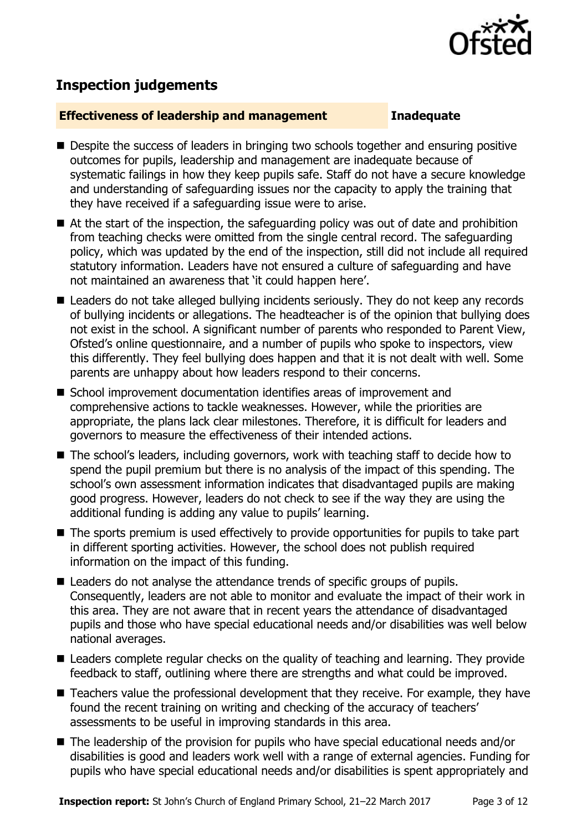

# **Inspection judgements**

#### **Effectiveness of leadership and management Inadequate**

- Despite the success of leaders in bringing two schools together and ensuring positive outcomes for pupils, leadership and management are inadequate because of systematic failings in how they keep pupils safe. Staff do not have a secure knowledge and understanding of safeguarding issues nor the capacity to apply the training that they have received if a safeguarding issue were to arise.
- At the start of the inspection, the safeguarding policy was out of date and prohibition from teaching checks were omitted from the single central record. The safeguarding policy, which was updated by the end of the inspection, still did not include all required statutory information. Leaders have not ensured a culture of safeguarding and have not maintained an awareness that 'it could happen here'.
- Leaders do not take alleged bullying incidents seriously. They do not keep any records of bullying incidents or allegations. The headteacher is of the opinion that bullying does not exist in the school. A significant number of parents who responded to Parent View, Ofsted's online questionnaire, and a number of pupils who spoke to inspectors, view this differently. They feel bullying does happen and that it is not dealt with well. Some parents are unhappy about how leaders respond to their concerns.
- School improvement documentation identifies areas of improvement and comprehensive actions to tackle weaknesses. However, while the priorities are appropriate, the plans lack clear milestones. Therefore, it is difficult for leaders and governors to measure the effectiveness of their intended actions.
- The school's leaders, including governors, work with teaching staff to decide how to spend the pupil premium but there is no analysis of the impact of this spending. The school's own assessment information indicates that disadvantaged pupils are making good progress. However, leaders do not check to see if the way they are using the additional funding is adding any value to pupils' learning.
- The sports premium is used effectively to provide opportunities for pupils to take part in different sporting activities. However, the school does not publish required information on the impact of this funding.
- Leaders do not analyse the attendance trends of specific groups of pupils. Consequently, leaders are not able to monitor and evaluate the impact of their work in this area. They are not aware that in recent years the attendance of disadvantaged pupils and those who have special educational needs and/or disabilities was well below national averages.
- Leaders complete regular checks on the quality of teaching and learning. They provide feedback to staff, outlining where there are strengths and what could be improved.
- Teachers value the professional development that they receive. For example, they have found the recent training on writing and checking of the accuracy of teachers' assessments to be useful in improving standards in this area.
- The leadership of the provision for pupils who have special educational needs and/or disabilities is good and leaders work well with a range of external agencies. Funding for pupils who have special educational needs and/or disabilities is spent appropriately and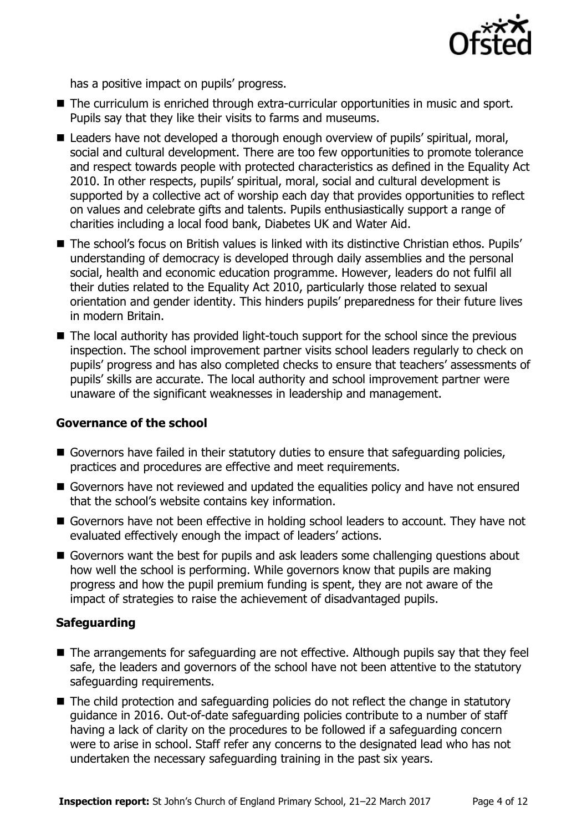

has a positive impact on pupils' progress.

- The curriculum is enriched through extra-curricular opportunities in music and sport. Pupils say that they like their visits to farms and museums.
- Leaders have not developed a thorough enough overview of pupils' spiritual, moral, social and cultural development. There are too few opportunities to promote tolerance and respect towards people with protected characteristics as defined in the Equality Act 2010. In other respects, pupils' spiritual, moral, social and cultural development is supported by a collective act of worship each day that provides opportunities to reflect on values and celebrate gifts and talents. Pupils enthusiastically support a range of charities including a local food bank, Diabetes UK and Water Aid.
- The school's focus on British values is linked with its distinctive Christian ethos. Pupils' understanding of democracy is developed through daily assemblies and the personal social, health and economic education programme. However, leaders do not fulfil all their duties related to the Equality Act 2010, particularly those related to sexual orientation and gender identity. This hinders pupils' preparedness for their future lives in modern Britain.
- The local authority has provided light-touch support for the school since the previous inspection. The school improvement partner visits school leaders regularly to check on pupils' progress and has also completed checks to ensure that teachers' assessments of pupils' skills are accurate. The local authority and school improvement partner were unaware of the significant weaknesses in leadership and management.

#### **Governance of the school**

- Governors have failed in their statutory duties to ensure that safeguarding policies, practices and procedures are effective and meet requirements.
- Governors have not reviewed and updated the equalities policy and have not ensured that the school's website contains key information.
- Governors have not been effective in holding school leaders to account. They have not evaluated effectively enough the impact of leaders' actions.
- Governors want the best for pupils and ask leaders some challenging questions about how well the school is performing. While governors know that pupils are making progress and how the pupil premium funding is spent, they are not aware of the impact of strategies to raise the achievement of disadvantaged pupils.

### **Safeguarding**

- The arrangements for safeguarding are not effective. Although pupils say that they feel safe, the leaders and governors of the school have not been attentive to the statutory safeguarding requirements.
- The child protection and safeguarding policies do not reflect the change in statutory guidance in 2016. Out-of-date safeguarding policies contribute to a number of staff having a lack of clarity on the procedures to be followed if a safeguarding concern were to arise in school. Staff refer any concerns to the designated lead who has not undertaken the necessary safeguarding training in the past six years.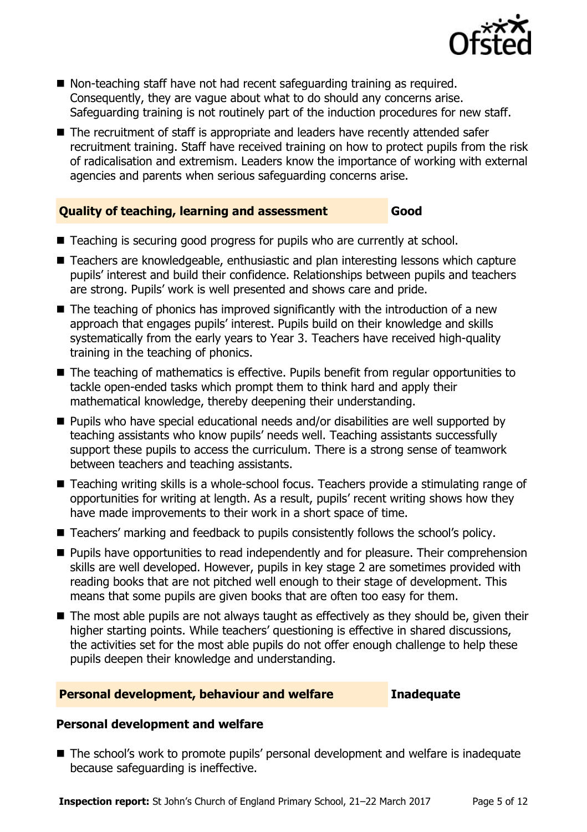

- Non-teaching staff have not had recent safeguarding training as required. Consequently, they are vague about what to do should any concerns arise. Safeguarding training is not routinely part of the induction procedures for new staff.
- The recruitment of staff is appropriate and leaders have recently attended safer recruitment training. Staff have received training on how to protect pupils from the risk of radicalisation and extremism. Leaders know the importance of working with external agencies and parents when serious safeguarding concerns arise.

### **Quality of teaching, learning and assessment Good**

- Teaching is securing good progress for pupils who are currently at school.
- Teachers are knowledgeable, enthusiastic and plan interesting lessons which capture pupils' interest and build their confidence. Relationships between pupils and teachers are strong. Pupils' work is well presented and shows care and pride.
- $\blacksquare$  The teaching of phonics has improved significantly with the introduction of a new approach that engages pupils' interest. Pupils build on their knowledge and skills systematically from the early years to Year 3. Teachers have received high-quality training in the teaching of phonics.
- The teaching of mathematics is effective. Pupils benefit from regular opportunities to tackle open-ended tasks which prompt them to think hard and apply their mathematical knowledge, thereby deepening their understanding.
- Pupils who have special educational needs and/or disabilities are well supported by teaching assistants who know pupils' needs well. Teaching assistants successfully support these pupils to access the curriculum. There is a strong sense of teamwork between teachers and teaching assistants.
- Teaching writing skills is a whole-school focus. Teachers provide a stimulating range of opportunities for writing at length. As a result, pupils' recent writing shows how they have made improvements to their work in a short space of time.
- Teachers' marking and feedback to pupils consistently follows the school's policy.
- **Pupils have opportunities to read independently and for pleasure. Their comprehension** skills are well developed. However, pupils in key stage 2 are sometimes provided with reading books that are not pitched well enough to their stage of development. This means that some pupils are given books that are often too easy for them.
- The most able pupils are not always taught as effectively as they should be, given their higher starting points. While teachers' questioning is effective in shared discussions, the activities set for the most able pupils do not offer enough challenge to help these pupils deepen their knowledge and understanding.

### **Personal development, behaviour and welfare Inadequate**

### **Personal development and welfare**

■ The school's work to promote pupils' personal development and welfare is inadequate because safeguarding is ineffective.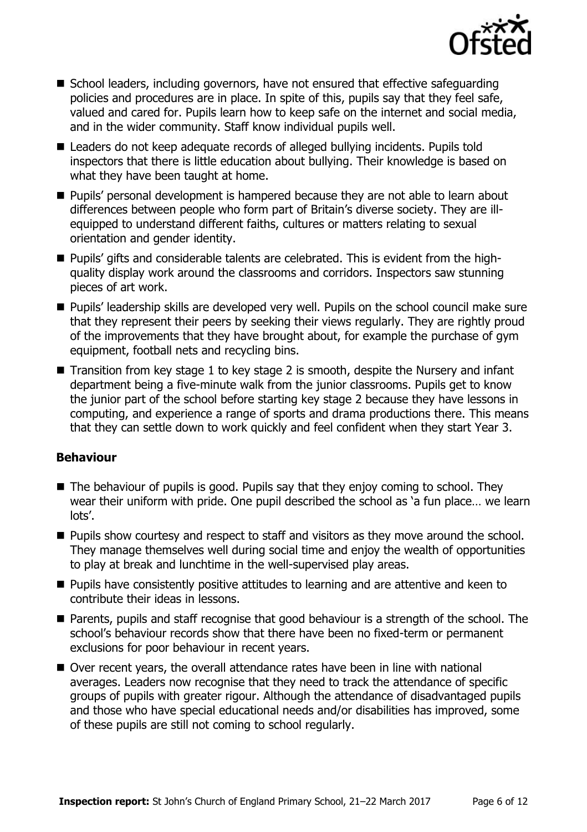

- School leaders, including governors, have not ensured that effective safeguarding policies and procedures are in place. In spite of this, pupils say that they feel safe, valued and cared for. Pupils learn how to keep safe on the internet and social media, and in the wider community. Staff know individual pupils well.
- Leaders do not keep adequate records of alleged bullying incidents. Pupils told inspectors that there is little education about bullying. Their knowledge is based on what they have been taught at home.
- **Pupils'** personal development is hampered because they are not able to learn about differences between people who form part of Britain's diverse society. They are illequipped to understand different faiths, cultures or matters relating to sexual orientation and gender identity.
- Pupils' gifts and considerable talents are celebrated. This is evident from the highquality display work around the classrooms and corridors. Inspectors saw stunning pieces of art work.
- **Pupils' leadership skills are developed very well. Pupils on the school council make sure** that they represent their peers by seeking their views regularly. They are rightly proud of the improvements that they have brought about, for example the purchase of gym equipment, football nets and recycling bins.
- Transition from key stage 1 to key stage 2 is smooth, despite the Nursery and infant department being a five-minute walk from the junior classrooms. Pupils get to know the junior part of the school before starting key stage 2 because they have lessons in computing, and experience a range of sports and drama productions there. This means that they can settle down to work quickly and feel confident when they start Year 3.

### **Behaviour**

- $\blacksquare$  The behaviour of pupils is good. Pupils say that they enjoy coming to school. They wear their uniform with pride. One pupil described the school as 'a fun place… we learn lots'.
- **Pupils show courtesy and respect to staff and visitors as they move around the school.** They manage themselves well during social time and enjoy the wealth of opportunities to play at break and lunchtime in the well-supervised play areas.
- **Pupils have consistently positive attitudes to learning and are attentive and keen to** contribute their ideas in lessons.
- Parents, pupils and staff recognise that good behaviour is a strength of the school. The school's behaviour records show that there have been no fixed-term or permanent exclusions for poor behaviour in recent years.
- Over recent years, the overall attendance rates have been in line with national averages. Leaders now recognise that they need to track the attendance of specific groups of pupils with greater rigour. Although the attendance of disadvantaged pupils and those who have special educational needs and/or disabilities has improved, some of these pupils are still not coming to school regularly.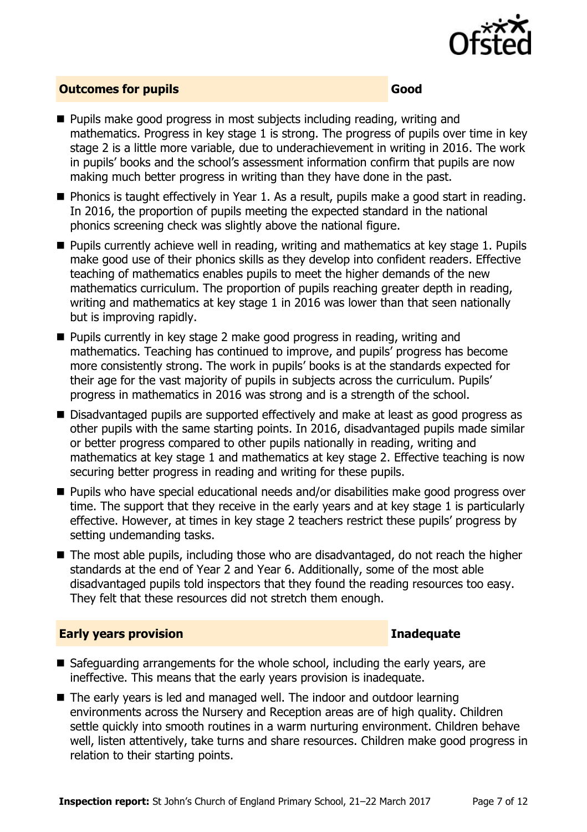

### **Outcomes for pupils Good**

- **Pupils make good progress in most subjects including reading, writing and** mathematics. Progress in key stage 1 is strong. The progress of pupils over time in key stage 2 is a little more variable, due to underachievement in writing in 2016. The work in pupils' books and the school's assessment information confirm that pupils are now making much better progress in writing than they have done in the past.
- **Phonics is taught effectively in Year 1. As a result, pupils make a good start in reading.** In 2016, the proportion of pupils meeting the expected standard in the national phonics screening check was slightly above the national figure.
- Pupils currently achieve well in reading, writing and mathematics at key stage 1. Pupils make good use of their phonics skills as they develop into confident readers. Effective teaching of mathematics enables pupils to meet the higher demands of the new mathematics curriculum. The proportion of pupils reaching greater depth in reading, writing and mathematics at key stage 1 in 2016 was lower than that seen nationally but is improving rapidly.
- **Pupils currently in key stage 2 make good progress in reading, writing and** mathematics. Teaching has continued to improve, and pupils' progress has become more consistently strong. The work in pupils' books is at the standards expected for their age for the vast majority of pupils in subjects across the curriculum. Pupils' progress in mathematics in 2016 was strong and is a strength of the school.
- Disadvantaged pupils are supported effectively and make at least as good progress as other pupils with the same starting points. In 2016, disadvantaged pupils made similar or better progress compared to other pupils nationally in reading, writing and mathematics at key stage 1 and mathematics at key stage 2. Effective teaching is now securing better progress in reading and writing for these pupils.
- Pupils who have special educational needs and/or disabilities make good progress over time. The support that they receive in the early years and at key stage 1 is particularly effective. However, at times in key stage 2 teachers restrict these pupils' progress by setting undemanding tasks.
- The most able pupils, including those who are disadvantaged, do not reach the higher standards at the end of Year 2 and Year 6. Additionally, some of the most able disadvantaged pupils told inspectors that they found the reading resources too easy. They felt that these resources did not stretch them enough.

#### **Early years provision Inadequate**

- Safeguarding arrangements for the whole school, including the early years, are ineffective. This means that the early years provision is inadequate.
- The early years is led and managed well. The indoor and outdoor learning environments across the Nursery and Reception areas are of high quality. Children settle quickly into smooth routines in a warm nurturing environment. Children behave well, listen attentively, take turns and share resources. Children make good progress in relation to their starting points.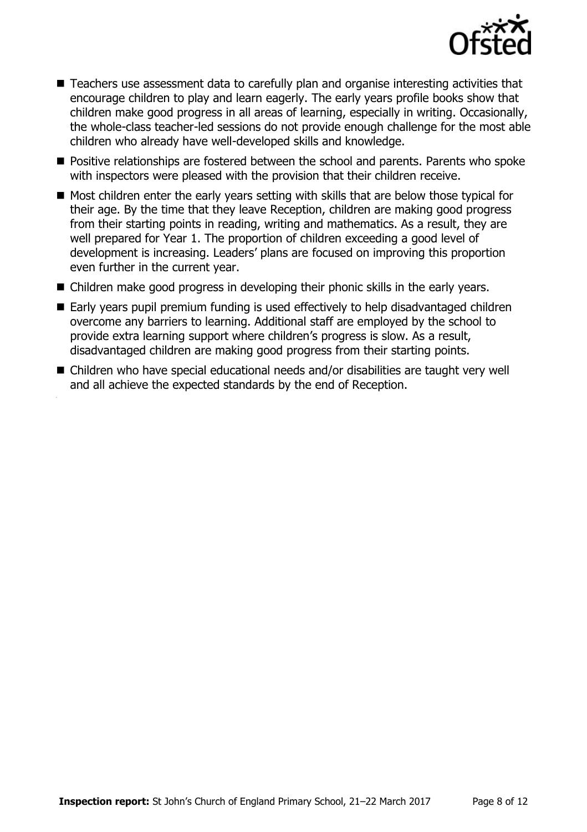

- Teachers use assessment data to carefully plan and organise interesting activities that encourage children to play and learn eagerly. The early years profile books show that children make good progress in all areas of learning, especially in writing. Occasionally, the whole-class teacher-led sessions do not provide enough challenge for the most able children who already have well-developed skills and knowledge.
- **Positive relationships are fostered between the school and parents. Parents who spoke** with inspectors were pleased with the provision that their children receive.
- $\blacksquare$  Most children enter the early years setting with skills that are below those typical for their age. By the time that they leave Reception, children are making good progress from their starting points in reading, writing and mathematics. As a result, they are well prepared for Year 1. The proportion of children exceeding a good level of development is increasing. Leaders' plans are focused on improving this proportion even further in the current year.
- Children make good progress in developing their phonic skills in the early years.
- Early years pupil premium funding is used effectively to help disadvantaged children overcome any barriers to learning. Additional staff are employed by the school to provide extra learning support where children's progress is slow. As a result, disadvantaged children are making good progress from their starting points.
- Children who have special educational needs and/or disabilities are taught very well and all achieve the expected standards by the end of Reception.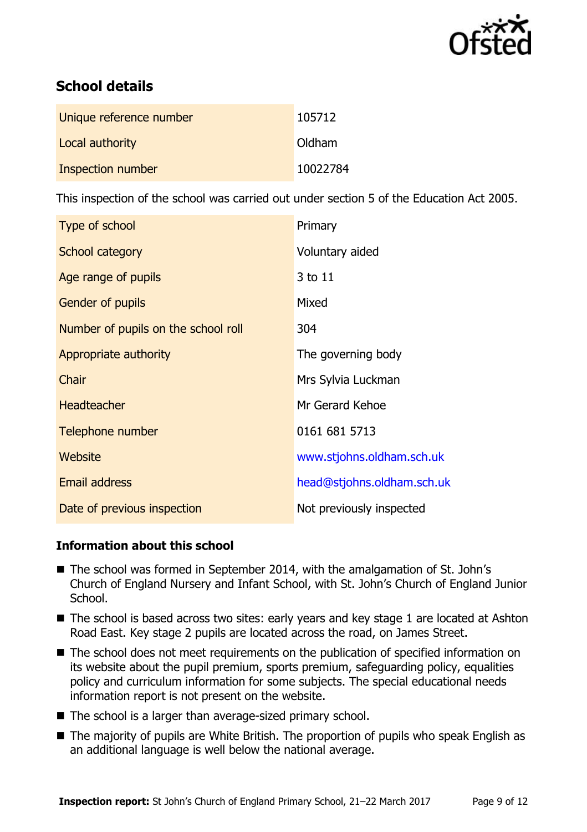

# **School details**

| Unique reference number  | 105712   |
|--------------------------|----------|
| Local authority          | Oldham   |
| <b>Inspection number</b> | 10022784 |

This inspection of the school was carried out under section 5 of the Education Act 2005.

| Type of school                      | Primary                    |
|-------------------------------------|----------------------------|
| School category                     | Voluntary aided            |
| Age range of pupils                 | 3 to 11                    |
| <b>Gender of pupils</b>             | Mixed                      |
| Number of pupils on the school roll | 304                        |
| Appropriate authority               | The governing body         |
| Chair                               | Mrs Sylvia Luckman         |
| <b>Headteacher</b>                  | Mr Gerard Kehoe            |
| Telephone number                    | 0161 681 5713              |
| Website                             | www.stjohns.oldham.sch.uk  |
| <b>Email address</b>                | head@stjohns.oldham.sch.uk |
| Date of previous inspection         | Not previously inspected   |

### **Information about this school**

- The school was formed in September 2014, with the amalgamation of St. John's Church of England Nursery and Infant School, with St. John's Church of England Junior School.
- The school is based across two sites: early years and key stage 1 are located at Ashton Road East. Key stage 2 pupils are located across the road, on James Street.
- The school does not meet requirements on the publication of specified information on its website about the pupil premium, sports premium, safeguarding policy, equalities policy and curriculum information for some subjects. The special educational needs information report is not present on the website.
- The school is a larger than average-sized primary school.
- The majority of pupils are White British. The proportion of pupils who speak English as an additional language is well below the national average.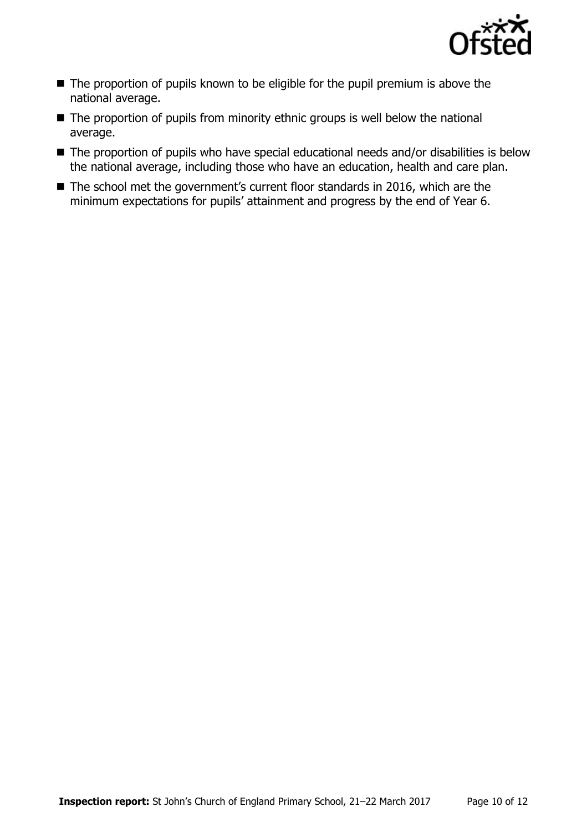

- $\blacksquare$  The proportion of pupils known to be eligible for the pupil premium is above the national average.
- The proportion of pupils from minority ethnic groups is well below the national average.
- The proportion of pupils who have special educational needs and/or disabilities is below the national average, including those who have an education, health and care plan.
- The school met the government's current floor standards in 2016, which are the minimum expectations for pupils' attainment and progress by the end of Year 6.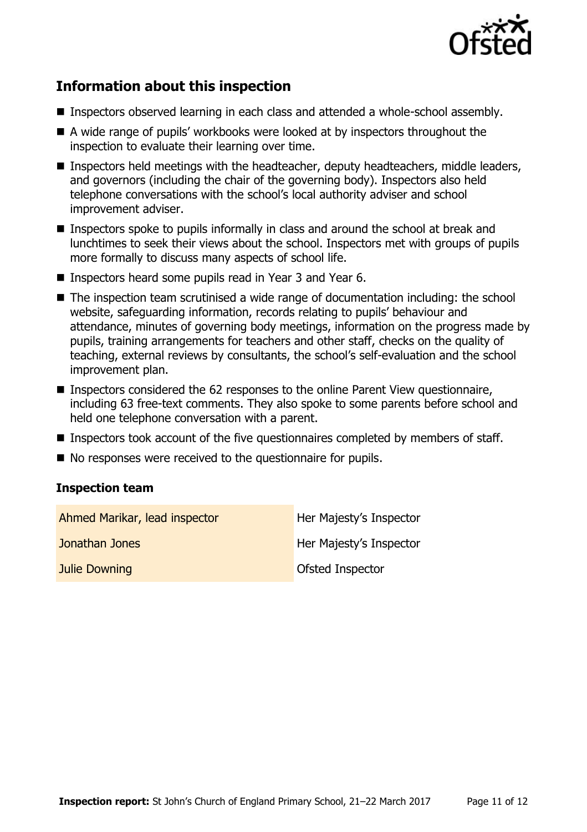

# **Information about this inspection**

- Inspectors observed learning in each class and attended a whole-school assembly.
- A wide range of pupils' workbooks were looked at by inspectors throughout the inspection to evaluate their learning over time.
- Inspectors held meetings with the headteacher, deputy headteachers, middle leaders, and governors (including the chair of the governing body). Inspectors also held telephone conversations with the school's local authority adviser and school improvement adviser.
- Inspectors spoke to pupils informally in class and around the school at break and lunchtimes to seek their views about the school. Inspectors met with groups of pupils more formally to discuss many aspects of school life.
- Inspectors heard some pupils read in Year 3 and Year 6.
- The inspection team scrutinised a wide range of documentation including: the school website, safeguarding information, records relating to pupils' behaviour and attendance, minutes of governing body meetings, information on the progress made by pupils, training arrangements for teachers and other staff, checks on the quality of teaching, external reviews by consultants, the school's self-evaluation and the school improvement plan.
- Inspectors considered the 62 responses to the online Parent View questionnaire, including 63 free-text comments. They also spoke to some parents before school and held one telephone conversation with a parent.
- Inspectors took account of the five questionnaires completed by members of staff.
- No responses were received to the questionnaire for pupils.

### **Inspection team**

| Ahmed Marikar, lead inspector | Her Majesty's Inspector |
|-------------------------------|-------------------------|
| Jonathan Jones                | Her Majesty's Inspector |
| <b>Julie Downing</b>          | Ofsted Inspector        |